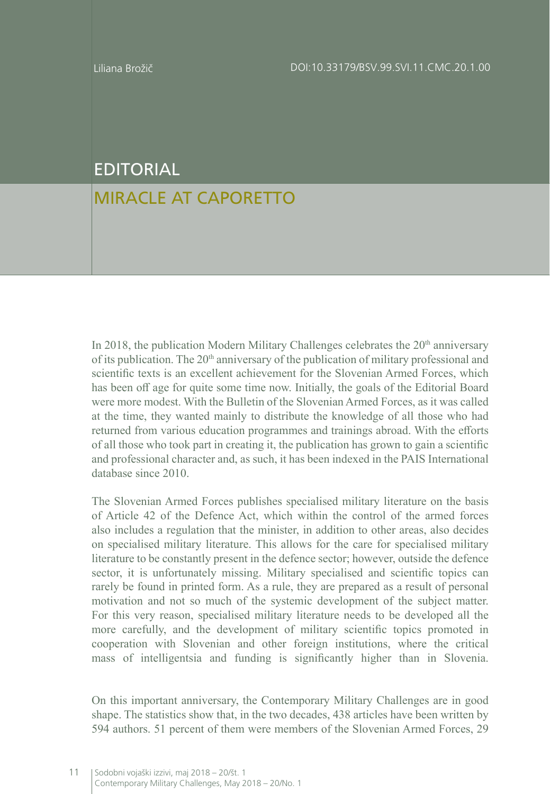## EDITORIAL

## MIRACLE AT CAPORETTO

In 2018, the publication Modern Military Challenges celebrates the  $20<sup>th</sup>$  anniversary of its publication. The  $20<sup>th</sup>$  anniversary of the publication of military professional and scientific texts is an excellent achievement for the Slovenian Armed Forces, which has been off age for quite some time now. Initially, the goals of the Editorial Board were more modest. With the Bulletin of the Slovenian Armed Forces, as it was called at the time, they wanted mainly to distribute the knowledge of all those who had returned from various education programmes and trainings abroad. With the efforts of all those who took part in creating it, the publication has grown to gain a scientific and professional character and, as such, it has been indexed in the PAIS International database since 2010.

The Slovenian Armed Forces publishes specialised military literature on the basis of Article 42 of the Defence Act, which within the control of the armed forces also includes a regulation that the minister, in addition to other areas, also decides on specialised military literature. This allows for the care for specialised military literature to be constantly present in the defence sector; however, outside the defence sector, it is unfortunately missing. Military specialised and scientific topics can rarely be found in printed form. As a rule, they are prepared as a result of personal motivation and not so much of the systemic development of the subject matter. For this very reason, specialised military literature needs to be developed all the more carefully, and the development of military scientific topics promoted in cooperation with Slovenian and other foreign institutions, where the critical mass of intelligentsia and funding is significantly higher than in Slovenia.

On this important anniversary, the Contemporary Military Challenges are in good shape. The statistics show that, in the two decades, 438 articles have been written by 594 authors. 51 percent of them were members of the Slovenian Armed Forces, 29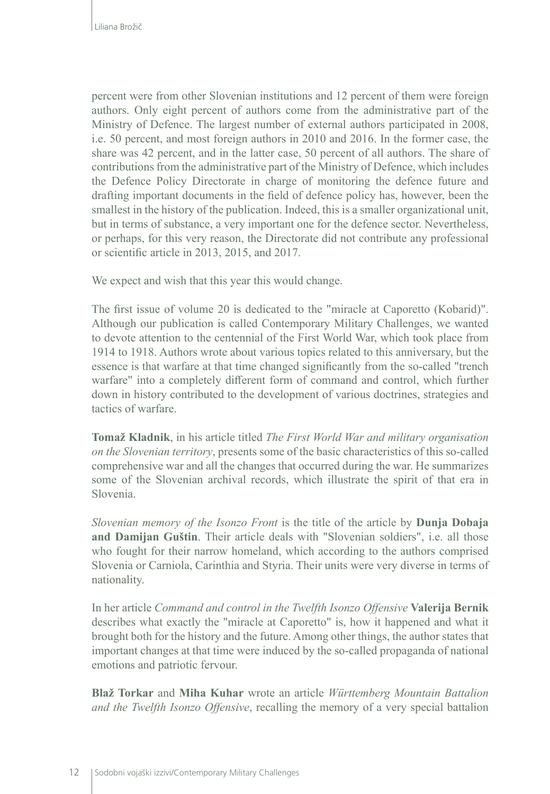percent were from other Slovenian institutions and 12 percent of them were foreign authors. Only eight percent of authors come from the administrative part of the Ministry of Defence. The largest number of external authors participated in 2008, i.e. 50 percent, and most foreign authors in 2010 and 2016. In the former case, the share was 42 percent, and in the latter case, 50 percent of all authors. The share of contributions from the administrative part of the Ministry of Defence, which includes the Defence Policy Directorate in charge of monitoring the defence future and drafting important documents in the field of defence policy has, however, been the smallest in the history of the publication. Indeed, this is a smaller organizational unit, but in terms of substance, a very important one for the defence sector. Nevertheless, or perhaps, for this very reason, the Directorate did not contribute any professional or scientific article in 2013, 2015, and 2017.

We expect and wish that this year this would change.

The first issue of volume 20 is dedicated to the "miracle at Caporetto (Kobarid)". Although our publication is called Contemporary Military Challenges, we wanted to devote attention to the centennial of the First World War, which took place from 1914 to 1918. Authors wrote about various topics related to this anniversary, but the essence is that warfare at that time changed significantly from the so-called "trench warfare" into a completely different form of command and control, which further down in history contributed to the development of various doctrines, strategies and tactics of warfare.

**Tomaž Kladnik**, in his article titled *The First World War and military organisation on the Slovenian territory*, presents some of the basic characteristics of this so-called comprehensive war and all the changes that occurred during the war. He summarizes some of the Slovenian archival records, which illustrate the spirit of that era in Slovenia.

*Slovenian memory of the Isonzo Front* is the title of the article by **Dunja Dobaja and Damijan Guštin**. Their article deals with "Slovenian soldiers", i.e. all those who fought for their narrow homeland, which according to the authors comprised Slovenia or Carniola, Carinthia and Styria. Their units were very diverse in terms of nationality.

In her article *Command and control in the Twelfth Isonzo Offensive* **Valerija Bernik** describes what exactly the "miracle at Caporetto" is, how it happened and what it brought both for the history and the future. Among other things, the author states that important changes at that time were induced by the so-called propaganda of national emotions and patriotic fervour.

**Blaž Torkar** and **Miha Kuhar** wrote an article *Württemberg Mountain Battalion and the Twelfth Isonzo Offensive*, recalling the memory of a very special battalion